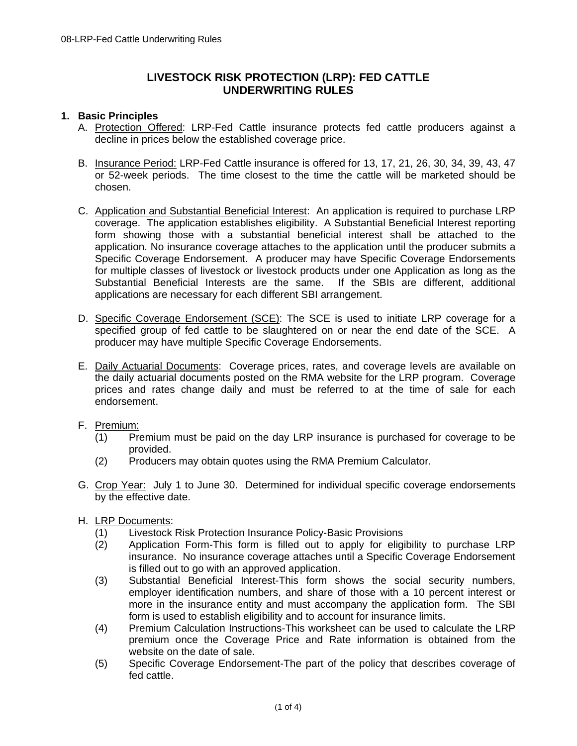# **LIVESTOCK RISK PROTECTION (LRP): FED CATTLE UNDERWRITING RULES**

### **1. Basic Principles**

- A. Protection Offered: LRP-Fed Cattle insurance protects fed cattle producers against a decline in prices below the established coverage price.
- B. Insurance Period: LRP-Fed Cattle insurance is offered for 13, 17, 21, 26, 30, 34, 39, 43, 47 or 52-week periods. The time closest to the time the cattle will be marketed should be chosen.
- C. Application and Substantial Beneficial Interest: An application is required to purchase LRP coverage. The application establishes eligibility. A Substantial Beneficial Interest reporting form showing those with a substantial beneficial interest shall be attached to the application. No insurance coverage attaches to the application until the producer submits a Specific Coverage Endorsement. A producer may have Specific Coverage Endorsements for multiple classes of livestock or livestock products under one Application as long as the Substantial Beneficial Interests are the same. If the SBIs are different, additional applications are necessary for each different SBI arrangement.
- D. Specific Coverage Endorsement (SCE): The SCE is used to initiate LRP coverage for a specified group of fed cattle to be slaughtered on or near the end date of the SCE. A producer may have multiple Specific Coverage Endorsements.
- E. Daily Actuarial Documents: Coverage prices, rates, and coverage levels are available on the daily actuarial documents posted on the RMA website for the LRP program. Coverage prices and rates change daily and must be referred to at the time of sale for each endorsement.
- F. Premium:
	- (1) Premium must be paid on the day LRP insurance is purchased for coverage to be provided.
	- (2) Producers may obtain quotes using the RMA Premium Calculator.
- G. Crop Year: July 1 to June 30. Determined for individual specific coverage endorsements by the effective date.
- H. LRP Documents:
	- (1) Livestock Risk Protection Insurance Policy-Basic Provisions
	- (2) Application Form-This form is filled out to apply for eligibility to purchase LRP insurance. No insurance coverage attaches until a Specific Coverage Endorsement is filled out to go with an approved application.
	- (3) Substantial Beneficial Interest-This form shows the social security numbers, employer identification numbers, and share of those with a 10 percent interest or more in the insurance entity and must accompany the application form. The SBI form is used to establish eligibility and to account for insurance limits.
	- (4) Premium Calculation Instructions-This worksheet can be used to calculate the LRP premium once the Coverage Price and Rate information is obtained from the website on the date of sale.
	- (5) Specific Coverage Endorsement-The part of the policy that describes coverage of fed cattle.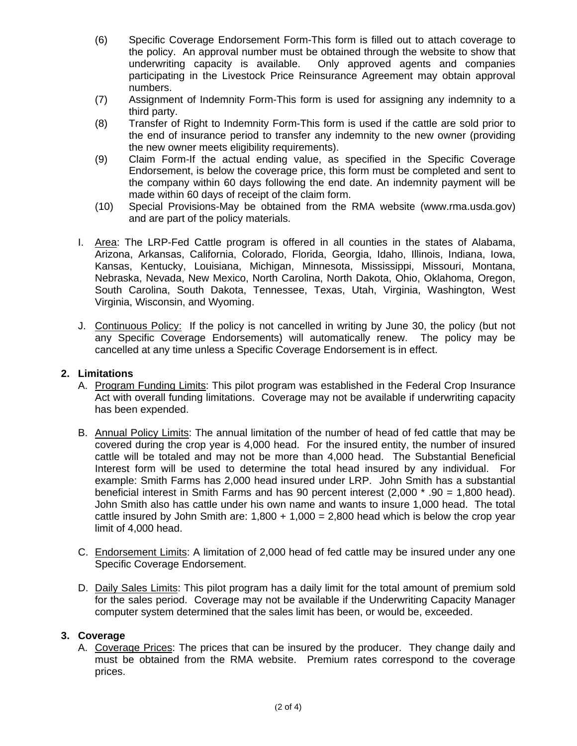- (6) Specific Coverage Endorsement Form-This form is filled out to attach coverage to the policy. An approval number must be obtained through the website to show that underwriting capacity is available. Only approved agents and companies participating in the Livestock Price Reinsurance Agreement may obtain approval numbers.
- (7) Assignment of Indemnity Form-This form is used for assigning any indemnity to a third party.
- (8) Transfer of Right to Indemnity Form-This form is used if the cattle are sold prior to the end of insurance period to transfer any indemnity to the new owner (providing the new owner meets eligibility requirements).
- (9) Claim Form-If the actual ending value, as specified in the Specific Coverage Endorsement, is below the coverage price, this form must be completed and sent to the company within 60 days following the end date. An indemnity payment will be made within 60 days of receipt of the claim form.
- (10) Special Provisions-May be obtained from the RMA website (www.rma.usda.gov) and are part of the policy materials.
- I. Area: The LRP-Fed Cattle program is offered in all counties in the states of Alabama, Arizona, Arkansas, California, Colorado, Florida, Georgia, Idaho, Illinois, Indiana, Iowa, Kansas, Kentucky, Louisiana, Michigan, Minnesota, Mississippi, Missouri, Montana, Nebraska, Nevada, New Mexico, North Carolina, North Dakota, Ohio, Oklahoma, Oregon, South Carolina, South Dakota, Tennessee, Texas, Utah, Virginia, Washington, West Virginia, Wisconsin, and Wyoming.
- J. Continuous Policy: If the policy is not cancelled in writing by June 30, the policy (but not any Specific Coverage Endorsements) will automatically renew. The policy may be cancelled at any time unless a Specific Coverage Endorsement is in effect.

## **2. Limitations**

- A. Program Funding Limits: This pilot program was established in the Federal Crop Insurance Act with overall funding limitations. Coverage may not be available if underwriting capacity has been expended.
- B. Annual Policy Limits: The annual limitation of the number of head of fed cattle that may be covered during the crop year is 4,000 head. For the insured entity, the number of insured cattle will be totaled and may not be more than 4,000 head. The Substantial Beneficial Interest form will be used to determine the total head insured by any individual. For example: Smith Farms has 2,000 head insured under LRP. John Smith has a substantial beneficial interest in Smith Farms and has 90 percent interest (2,000 \* .90 = 1,800 head). John Smith also has cattle under his own name and wants to insure 1,000 head. The total cattle insured by John Smith are:  $1,800 + 1,000 = 2,800$  head which is below the crop year limit of 4,000 head.
- C. Endorsement Limits: A limitation of 2,000 head of fed cattle may be insured under any one Specific Coverage Endorsement.
- D. Daily Sales Limits: This pilot program has a daily limit for the total amount of premium sold for the sales period. Coverage may not be available if the Underwriting Capacity Manager computer system determined that the sales limit has been, or would be, exceeded.

## **3. Coverage**

A. Coverage Prices: The prices that can be insured by the producer. They change daily and must be obtained from the RMA website. Premium rates correspond to the coverage prices.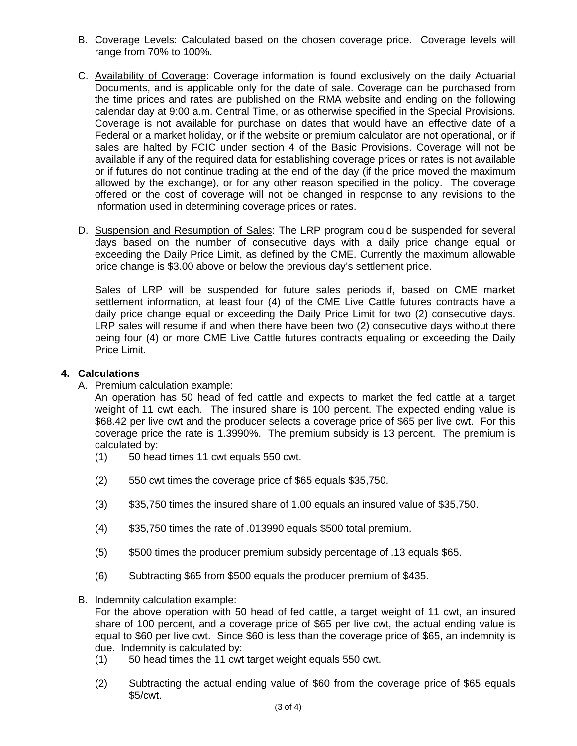- B. Coverage Levels: Calculated based on the chosen coverage price. Coverage levels will range from 70% to 100%.
- C. Availability of Coverage: Coverage information is found exclusively on the daily Actuarial Documents, and is applicable only for the date of sale. Coverage can be purchased from the time prices and rates are published on the RMA website and ending on the following calendar day at 9:00 a.m. Central Time, or as otherwise specified in the Special Provisions. Coverage is not available for purchase on dates that would have an effective date of a Federal or a market holiday, or if the website or premium calculator are not operational, or if sales are halted by FCIC under section 4 of the Basic Provisions. Coverage will not be available if any of the required data for establishing coverage prices or rates is not available or if futures do not continue trading at the end of the day (if the price moved the maximum allowed by the exchange), or for any other reason specified in the policy. The coverage offered or the cost of coverage will not be changed in response to any revisions to the information used in determining coverage prices or rates.
- D. Suspension and Resumption of Sales: The LRP program could be suspended for several days based on the number of consecutive days with a daily price change equal or exceeding the Daily Price Limit, as defined by the CME. Currently the maximum allowable price change is \$3.00 above or below the previous day's settlement price.

Sales of LRP will be suspended for future sales periods if, based on CME market settlement information, at least four (4) of the CME Live Cattle futures contracts have a daily price change equal or exceeding the Daily Price Limit for two (2) consecutive days. LRP sales will resume if and when there have been two (2) consecutive days without there being four (4) or more CME Live Cattle futures contracts equaling or exceeding the Daily Price Limit.

## **4. Calculations**

A. Premium calculation example:

An operation has 50 head of fed cattle and expects to market the fed cattle at a target weight of 11 cwt each. The insured share is 100 percent. The expected ending value is \$68.42 per live cwt and the producer selects a coverage price of \$65 per live cwt. For this coverage price the rate is 1.3990%. The premium subsidy is 13 percent. The premium is calculated by:

- (1) 50 head times 11 cwt equals 550 cwt.
- (2) 550 cwt times the coverage price of \$65 equals \$35,750.
- (3) \$35,750 times the insured share of 1.00 equals an insured value of \$35,750.
- (4) \$35,750 times the rate of .013990 equals \$500 total premium.
- (5) \$500 times the producer premium subsidy percentage of .13 equals \$65.
- (6) Subtracting \$65 from \$500 equals the producer premium of \$435.
- B. Indemnity calculation example:

For the above operation with 50 head of fed cattle, a target weight of 11 cwt, an insured share of 100 percent, and a coverage price of \$65 per live cwt, the actual ending value is equal to \$60 per live cwt. Since \$60 is less than the coverage price of \$65, an indemnity is due. Indemnity is calculated by:

- (1) 50 head times the 11 cwt target weight equals 550 cwt.
- (2) Subtracting the actual ending value of \$60 from the coverage price of \$65 equals \$5/cwt.